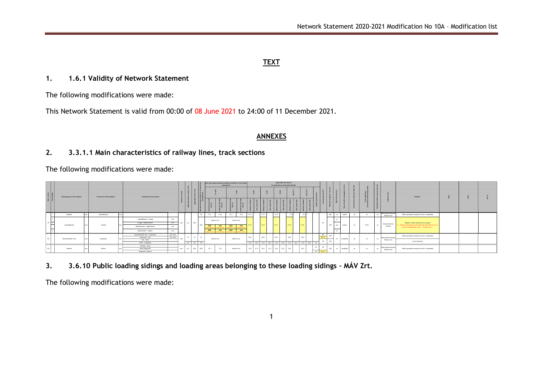# **TEXT**

## **1. 1.6.1 Validity of Network Statement**

The following modifications were made:

This Network Statement is valid from 00:00 of 08 June 2021 to 24:00 of 11 December 2021.

## **ANNEXES**

# **2. 3.3.1.1 Main characteristics of railway lines, track sections**

The following modifications were made:

|                           |          |                                     | Final point of line (station)    |         |                                         |               |                             |        | locomotives    |                            |                                      |                            |                      |                                                 |                                                                     |  | Applicable axle load (t) |                        |                               |                                                                                                                 |                       |                |                                        |     |                                                                          |                                                |    |              |                                                  |                                                 |                                                                                                                                                                 |         |
|---------------------------|----------|-------------------------------------|----------------------------------|---------|-----------------------------------------|---------------|-----------------------------|--------|----------------|----------------------------|--------------------------------------|----------------------------|----------------------|-------------------------------------------------|---------------------------------------------------------------------|--|--------------------------|------------------------|-------------------------------|-----------------------------------------------------------------------------------------------------------------|-----------------------|----------------|----------------------------------------|-----|--------------------------------------------------------------------------|------------------------------------------------|----|--------------|--------------------------------------------------|-------------------------------------------------|-----------------------------------------------------------------------------------------------------------------------------------------------------------------|---------|
|                           |          |                                     |                                  |         |                                         |               | Dividing line into sections |        |                |                            |                                      |                            |                      |                                                 |                                                                     |  |                          |                        |                               |                                                                                                                 |                       |                |                                        |     |                                                                          |                                                |    |              |                                                  |                                                 |                                                                                                                                                                 | Remarks |
| Main number<br>Sub-number |          |                                     |                                  |         |                                         |               |                             |        |                |                            |                                      | ខែ                         |                      |                                                 |                                                                     |  |                          |                        |                               |                                                                                                                 |                       |                |                                        |     |                                                                          |                                                |    |              |                                                  |                                                 |                                                                                                                                                                 |         |
|                           | Börgönd  |                                     | Szabadbattván                    |         |                                         |               |                             |        | D <sub>2</sub> | 21,6                       | 22.5                                 | 21,6                       | 22,5                 | 21.0                                            |                                                                     |  | 21.0                     |                        |                               |                                                                                                                 |                       |                |                                        |     |                                                                          | no                                             | mo |              | Rativov Line                                     | Public passenger transport service is suspended |                                                                                                                                                                 |         |
|                           |          |                                     |                                  |         | Szabadbattván - Csatán                  | tect.<br>excl |                             |        |                | shall not run              |                                      |                            |                      | $21.0^{\circ}$                                  |                                                                     |  |                          |                        |                               |                                                                                                                 |                       |                |                                        |     |                                                                          |                                                |    |              |                                                  |                                                 |                                                                                                                                                                 |         |
|                           |          |                                     |                                  |         | Csatág - Balatonkenese                  |               | crie                        |        | CH2.           |                            |                                      |                            |                      |                                                 |                                                                     |  |                          |                        |                               |                                                                                                                 |                       |                |                                        |     |                                                                          |                                                |    |              | Nationwide Core                                  | Polairdi: remote coerated service place         |                                                                                                                                                                 |         |
|                           |          |                                     |                                  |         | Balatonkenese - Balatonfüred            | incl.         |                             |        |                | 24.6<br><b>Dail net en</b> | 22.5<br>hall not run                 | 24.6<br>hall net y         | 22,5<br>thail not ru |                                                 |                                                                     |  |                          |                        |                               |                                                                                                                 |                       |                |                                        |     |                                                                          |                                                |    | network      | section Szabadbattván (excl.) - Tapolca (excl.). |                                                 |                                                                                                                                                                 |         |
|                           |          |                                     |                                  |         | Balatonfüred - Tapoica                  | excl          |                             |        |                | 24,6<br>shall not ru       | 29-6<br>shall not run                | 24.6<br><b>Sall net ru</b> | 22.6<br>shall not ru |                                                 |                                                                     |  |                          |                        |                               |                                                                                                                 |                       |                |                                        |     |                                                                          |                                                |    |              |                                                  |                                                 |                                                                                                                                                                 |         |
|                           |          |                                     |                                  |         | Kunspentmiklos-Tass - Dunavecse         | incl.-excl.   |                             |        |                |                            |                                      |                            |                      |                                                 |                                                                     |  |                          |                        |                               |                                                                                                                 |                       | 80             |                                        |     |                                                                          |                                                |    |              |                                                  |                                                 |                                                                                                                                                                 |         |
|                           |          |                                     | Dunapatat                        |         | Dunavecse - Solt                        | incl.-excl.   | <b>COMPART</b>              |        |                |                            |                                      |                            |                      |                                                 |                                                                     |  |                          |                        |                               |                                                                                                                 |                       |                |                                        |     |                                                                          | no                                             | mo | <b>COL</b>   |                                                  |                                                 |                                                                                                                                                                 |         |
|                           |          |                                     |                                  |         | Solt - Harta<br>Harta - Dunapatan       |               |                             | 6.4 82 |                |                            |                                      |                            |                      |                                                 |                                                                     |  |                          |                        |                               |                                                                                                                 | 30                    | 50             | 250                                    |     |                                                                          |                                                |    |              |                                                  | out of operation                                |                                                                                                                                                                 |         |
|                           |          |                                     |                                  |         | Kiskórös - Kecel                        |               |                             |        |                |                            |                                      |                            |                      |                                                 |                                                                     |  |                          |                        |                               |                                                                                                                 |                       |                |                                        |     |                                                                          |                                                |    |              |                                                  |                                                 |                                                                                                                                                                 |         |
|                           | Khikórós |                                     | Kalocsa                          |         | Kecel-Örescsertő<br>Oreecsertő- Kalocsa |               |                             |        | 19.1           | 21,0                       |                                      |                            |                      |                                                 |                                                                     |  |                          |                        |                               |                                                                                                                 | SOL                   |                |                                        |     | no                                                                       | no                                             | n2 | Rativov Line | Public passenger transport service is suspended  |                                                 |                                                                                                                                                                 |         |
|                           | 29       | Szabadbattyán<br>Kumzentmiklós-Tass | Starting point of line (station) | Tapolca |                                         |               |                             |        |                | 6.4 CM2<br>82              | $\alpha + \alpha$<br>one 6.4 CM2 CM2 | shall not run              |                      | shall not run<br>shall not run<br>shall not run | Axle load range containing subdued conditions of overweight<br>20.0 |  | 21.0<br>21.0''<br>20.0   | $21.0^{\circ}$<br>20.0 | 17.0 18.5 17.0 18.5 17.0 18.5 | for locomotives and hauled vehicles<br>21.0<br>—<br>21.0"<br>20.0<br>17.0<br>18.5 21.0 18.5 21.0 18.5 21.0 18.5 | 21.05<br>20.0<br>18.5 | 18.5 17.0 18.5 | sn<br>–<br>60/70<br>30<br>60<br>$40 -$ | 450 | $500$ $m$<br>$\infty$<br><b>SHOPS</b><br>$\infty$<br>me.<br>$-500$ m $1$ | station<br>station<br>simplified<br>streatfied | no | 75 Hz        | m <sub>2</sub>                                   | Nationwide Seconda<br>Ratiway Line              | Nationwide Secondar<br>a) Vehicles exceeding the permitted axle load shall not run on<br>Public passenger transport service is suspended<br>Nationwide Secondar |         |

**3. 3.6.10 Public loading sidings and loading areas belonging to these loading sidings – MÁV Zrt.**

The following modifications were made: